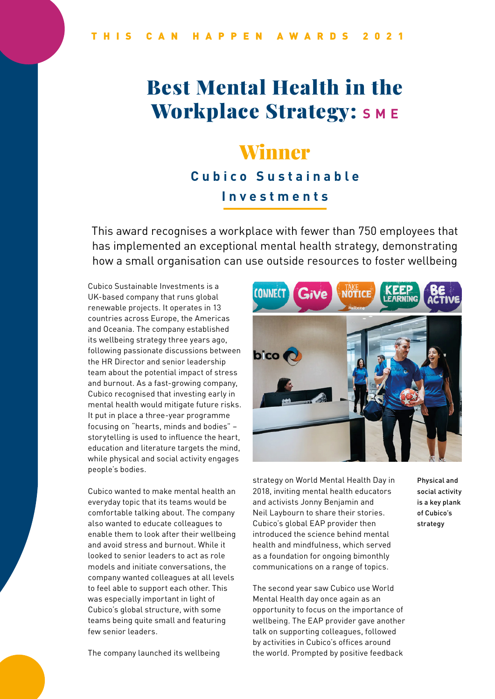# Best Mental Health in the **Workplace Strategy:** SME

## Winner

#### **Cubico Sustainable Investments**

This award recognises a workplace with fewer than 750 employees that has implemented an exceptional mental health strategy, demonstrating how a small organisation can use outside resources to foster wellbeing

Cubico Sustainable Investments is a UK-based company that runs global renewable projects. It operates in 13 countries across Europe, the Americas and Oceania. The company established its wellbeing strategy three years ago, following passionate discussions between the HR Director and senior leadership team about the potential impact of stress and burnout. As a fast-growing company, Cubico recognised that investing early in mental health would mitigate future risks. It put in place a three-year programme focusing on "hearts, minds and bodies" – storytelling is used to influence the heart, education and literature targets the mind, while physical and social activity engages people's bodies.

Cubico wanted to make mental health an everyday topic that its teams would be comfortable talking about. The company also wanted to educate colleagues to enable them to look after their wellbeing and avoid stress and burnout. While it looked to senior leaders to act as role models and initiate conversations, the company wanted colleagues at all levels to feel able to support each other. This was especially important in light of Cubico's global structure, with some teams being quite small and featuring few senior leaders.

The company launched its wellbeing



strategy on World Mental Health Day in 2018, inviting mental health educators and activists Jonny Benjamin and Neil Laybourn to share their stories. Cubico's global EAP provider then introduced the science behind mental health and mindfulness, which served as a foundation for ongoing bimonthly communications on a range of topics.

The second year saw Cubico use World Mental Health day once again as an opportunity to focus on the importance of wellbeing. The EAP provider gave another talk on supporting colleagues, followed by activities in Cubico's offices around the world. Prompted by positive feedback

Physical and social activity is a key plank of Cubico's strategy